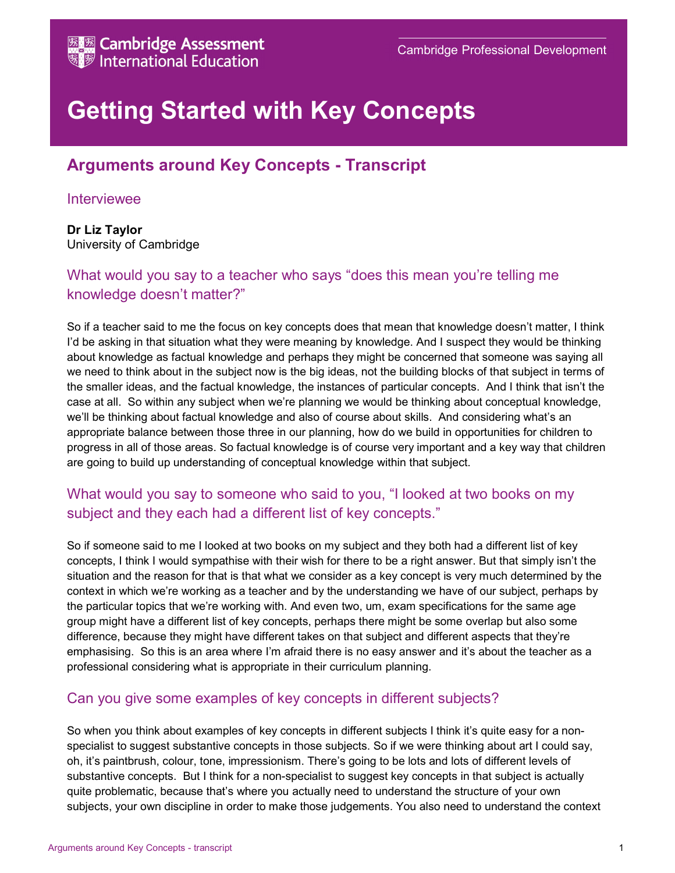

# Getting Started with Key Concepts

## Arguments around Key Concepts - Transcript

#### Interviewee

Dr Liz Taylor University of Cambridge

#### What would you say to a teacher who says "does this mean you're telling me knowledge doesn't matter?"

So if a teacher said to me the focus on key concepts does that mean that knowledge doesn't matter, I think I'd be asking in that situation what they were meaning by knowledge. And I suspect they would be thinking about knowledge as factual knowledge and perhaps they might be concerned that someone was saying all we need to think about in the subject now is the big ideas, not the building blocks of that subject in terms of the smaller ideas, and the factual knowledge, the instances of particular concepts. And I think that isn't the case at all. So within any subject when we're planning we would be thinking about conceptual knowledge, we'll be thinking about factual knowledge and also of course about skills. And considering what's an appropriate balance between those three in our planning, how do we build in opportunities for children to progress in all of those areas. So factual knowledge is of course very important and a key way that children are going to build up understanding of conceptual knowledge within that subject.

### What would you say to someone who said to you, "I looked at two books on my subject and they each had a different list of key concepts."

So if someone said to me I looked at two books on my subject and they both had a different list of key concepts, I think I would sympathise with their wish for there to be a right answer. But that simply isn't the situation and the reason for that is that what we consider as a key concept is very much determined by the context in which we're working as a teacher and by the understanding we have of our subject, perhaps by the particular topics that we're working with. And even two, um, exam specifications for the same age group might have a different list of key concepts, perhaps there might be some overlap but also some difference, because they might have different takes on that subject and different aspects that they're emphasising. So this is an area where I'm afraid there is no easy answer and it's about the teacher as a professional considering what is appropriate in their curriculum planning.

#### Can you give some examples of key concepts in different subjects?

So when you think about examples of key concepts in different subjects I think it's quite easy for a nonspecialist to suggest substantive concepts in those subjects. So if we were thinking about art I could say, oh, it's paintbrush, colour, tone, impressionism. There's going to be lots and lots of different levels of substantive concepts. But I think for a non-specialist to suggest key concepts in that subject is actually quite problematic, because that's where you actually need to understand the structure of your own subjects, your own discipline in order to make those judgements. You also need to understand the context